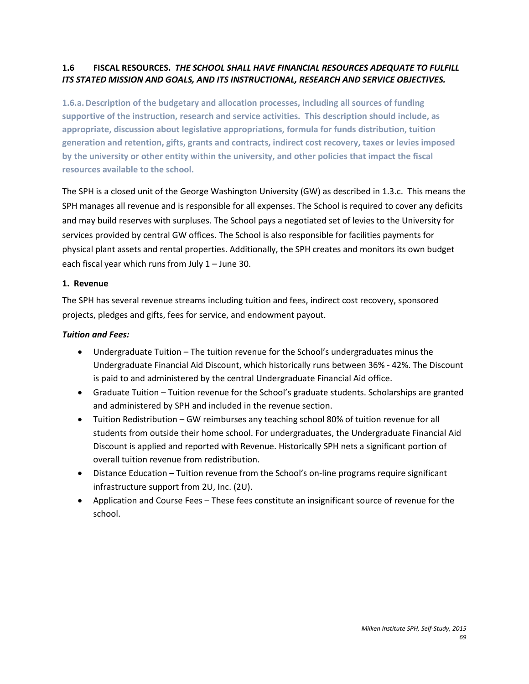# **1.6 FISCAL RESOURCES.** *THE SCHOOL SHALL HAVE FINANCIAL RESOURCES ADEQUATE TO FULFILL ITS STATED MISSION AND GOALS, AND ITS INSTRUCTIONAL, RESEARCH AND SERVICE OBJECTIVES.*

**1.6.a.Description of the budgetary and allocation processes, including all sources of funding supportive of the instruction, research and service activities. This description should include, as appropriate, discussion about legislative appropriations, formula for funds distribution, tuition generation and retention, gifts, grants and contracts, indirect cost recovery, taxes or levies imposed by the university or other entity within the university, and other policies that impact the fiscal resources available to the school.** 

The SPH is a closed unit of the George Washington University (GW) as described in 1.3.c. This means the SPH manages all revenue and is responsible for all expenses. The School is required to cover any deficits and may build reserves with surpluses. The School pays a negotiated set of levies to the University for services provided by central GW offices. The School is also responsible for facilities payments for physical plant assets and rental properties. Additionally, the SPH creates and monitors its own budget each fiscal year which runs from July 1 – June 30.

## **1. Revenue**

The SPH has several revenue streams including tuition and fees, indirect cost recovery, sponsored projects, pledges and gifts, fees for service, and endowment payout.

## *Tuition and Fees:*

- Undergraduate Tuition The tuition revenue for the School's undergraduates minus the Undergraduate Financial Aid Discount, which historically runs between 36% - 42%. The Discount is paid to and administered by the central Undergraduate Financial Aid office.
- Graduate Tuition Tuition revenue for the School's graduate students. Scholarships are granted and administered by SPH and included in the revenue section.
- Tuition Redistribution GW reimburses any teaching school 80% of tuition revenue for all students from outside their home school. For undergraduates, the Undergraduate Financial Aid Discount is applied and reported with Revenue. Historically SPH nets a significant portion of overall tuition revenue from redistribution.
- Distance Education Tuition revenue from the School's on-line programs require significant infrastructure support from 2U, Inc. (2U).
- Application and Course Fees These fees constitute an insignificant source of revenue for the school.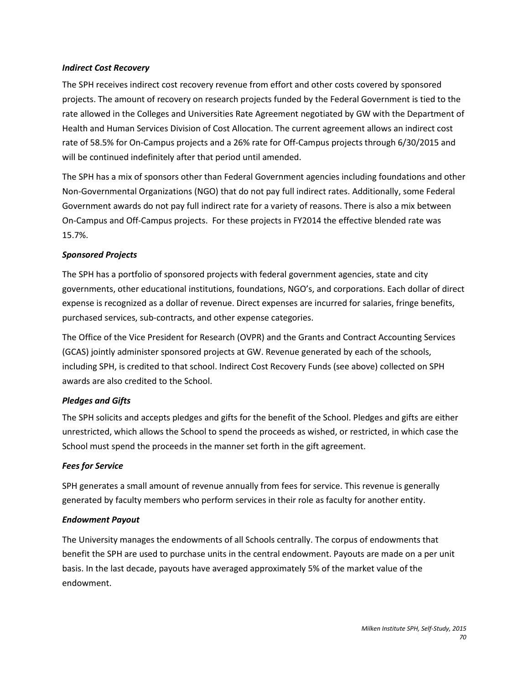#### *Indirect Cost Recovery*

The SPH receives indirect cost recovery revenue from effort and other costs covered by sponsored projects. The amount of recovery on research projects funded by the Federal Government is tied to the rate allowed in the Colleges and Universities Rate Agreement negotiated by GW with the Department of Health and Human Services Division of Cost Allocation. The current agreement allows an indirect cost rate of 58.5% for On-Campus projects and a 26% rate for Off-Campus projects through 6/30/2015 and will be continued indefinitely after that period until amended.

The SPH has a mix of sponsors other than Federal Government agencies including foundations and other Non-Governmental Organizations (NGO) that do not pay full indirect rates. Additionally, some Federal Government awards do not pay full indirect rate for a variety of reasons. There is also a mix between On-Campus and Off-Campus projects. For these projects in FY2014 the effective blended rate was 15.7%.

## *Sponsored Projects*

The SPH has a portfolio of sponsored projects with federal government agencies, state and city governments, other educational institutions, foundations, NGO's, and corporations. Each dollar of direct expense is recognized as a dollar of revenue. Direct expenses are incurred for salaries, fringe benefits, purchased services, sub-contracts, and other expense categories.

The Office of the Vice President for Research (OVPR) and the Grants and Contract Accounting Services (GCAS) jointly administer sponsored projects at GW. Revenue generated by each of the schools, including SPH, is credited to that school. Indirect Cost Recovery Funds (see above) collected on SPH awards are also credited to the School.

## *Pledges and Gifts*

The SPH solicits and accepts pledges and gifts for the benefit of the School. Pledges and gifts are either unrestricted, which allows the School to spend the proceeds as wished, or restricted, in which case the School must spend the proceeds in the manner set forth in the gift agreement.

## *Fees for Service*

SPH generates a small amount of revenue annually from fees for service. This revenue is generally generated by faculty members who perform services in their role as faculty for another entity.

## *Endowment Payout*

The University manages the endowments of all Schools centrally. The corpus of endowments that benefit the SPH are used to purchase units in the central endowment. Payouts are made on a per unit basis. In the last decade, payouts have averaged approximately 5% of the market value of the endowment.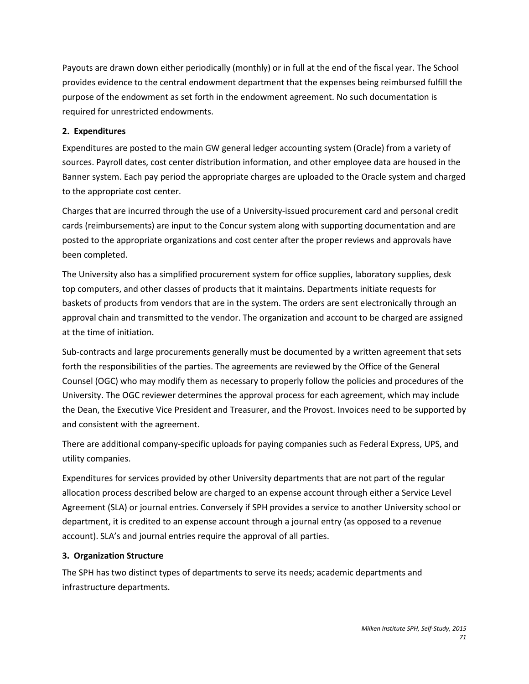Payouts are drawn down either periodically (monthly) or in full at the end of the fiscal year. The School provides evidence to the central endowment department that the expenses being reimbursed fulfill the purpose of the endowment as set forth in the endowment agreement. No such documentation is required for unrestricted endowments.

# **2. Expenditures**

Expenditures are posted to the main GW general ledger accounting system (Oracle) from a variety of sources. Payroll dates, cost center distribution information, and other employee data are housed in the Banner system. Each pay period the appropriate charges are uploaded to the Oracle system and charged to the appropriate cost center.

Charges that are incurred through the use of a University-issued procurement card and personal credit cards (reimbursements) are input to the Concur system along with supporting documentation and are posted to the appropriate organizations and cost center after the proper reviews and approvals have been completed.

The University also has a simplified procurement system for office supplies, laboratory supplies, desk top computers, and other classes of products that it maintains. Departments initiate requests for baskets of products from vendors that are in the system. The orders are sent electronically through an approval chain and transmitted to the vendor. The organization and account to be charged are assigned at the time of initiation.

Sub-contracts and large procurements generally must be documented by a written agreement that sets forth the responsibilities of the parties. The agreements are reviewed by the Office of the General Counsel (OGC) who may modify them as necessary to properly follow the policies and procedures of the University. The OGC reviewer determines the approval process for each agreement, which may include the Dean, the Executive Vice President and Treasurer, and the Provost. Invoices need to be supported by and consistent with the agreement.

There are additional company-specific uploads for paying companies such as Federal Express, UPS, and utility companies.

Expenditures for services provided by other University departments that are not part of the regular allocation process described below are charged to an expense account through either a Service Level Agreement (SLA) or journal entries. Conversely if SPH provides a service to another University school or department, it is credited to an expense account through a journal entry (as opposed to a revenue account). SLA's and journal entries require the approval of all parties.

# **3. Organization Structure**

The SPH has two distinct types of departments to serve its needs; academic departments and infrastructure departments.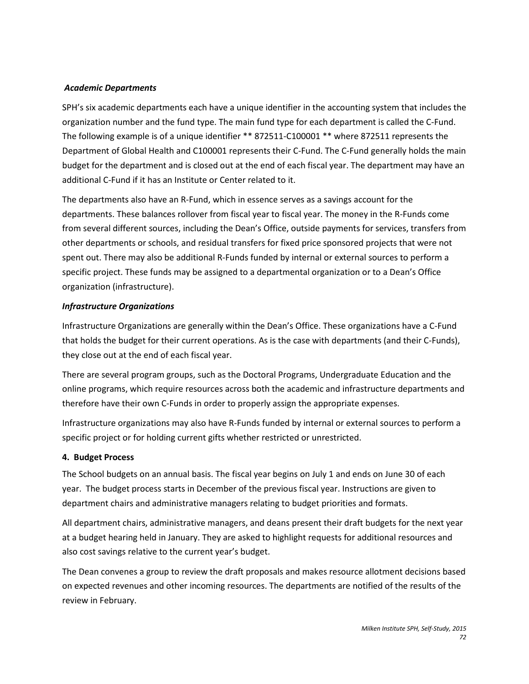## *Academic Departments*

SPH's six academic departments each have a unique identifier in the accounting system that includes the organization number and the fund type. The main fund type for each department is called the C-Fund. The following example is of a unique identifier \*\* 872511-C100001 \*\* where 872511 represents the Department of Global Health and C100001 represents their C-Fund. The C-Fund generally holds the main budget for the department and is closed out at the end of each fiscal year. The department may have an additional C-Fund if it has an Institute or Center related to it.

The departments also have an R-Fund, which in essence serves as a savings account for the departments. These balances rollover from fiscal year to fiscal year. The money in the R-Funds come from several different sources, including the Dean's Office, outside payments for services, transfers from other departments or schools, and residual transfers for fixed price sponsored projects that were not spent out. There may also be additional R-Funds funded by internal or external sources to perform a specific project. These funds may be assigned to a departmental organization or to a Dean's Office organization (infrastructure).

## *Infrastructure Organizations*

Infrastructure Organizations are generally within the Dean's Office. These organizations have a C-Fund that holds the budget for their current operations. As is the case with departments (and their C-Funds), they close out at the end of each fiscal year.

There are several program groups, such as the Doctoral Programs, Undergraduate Education and the online programs, which require resources across both the academic and infrastructure departments and therefore have their own C-Funds in order to properly assign the appropriate expenses.

Infrastructure organizations may also have R-Funds funded by internal or external sources to perform a specific project or for holding current gifts whether restricted or unrestricted.

## **4. Budget Process**

The School budgets on an annual basis. The fiscal year begins on July 1 and ends on June 30 of each year. The budget process starts in December of the previous fiscal year. Instructions are given to department chairs and administrative managers relating to budget priorities and formats.

All department chairs, administrative managers, and deans present their draft budgets for the next year at a budget hearing held in January. They are asked to highlight requests for additional resources and also cost savings relative to the current year's budget.

The Dean convenes a group to review the draft proposals and makes resource allotment decisions based on expected revenues and other incoming resources. The departments are notified of the results of the review in February.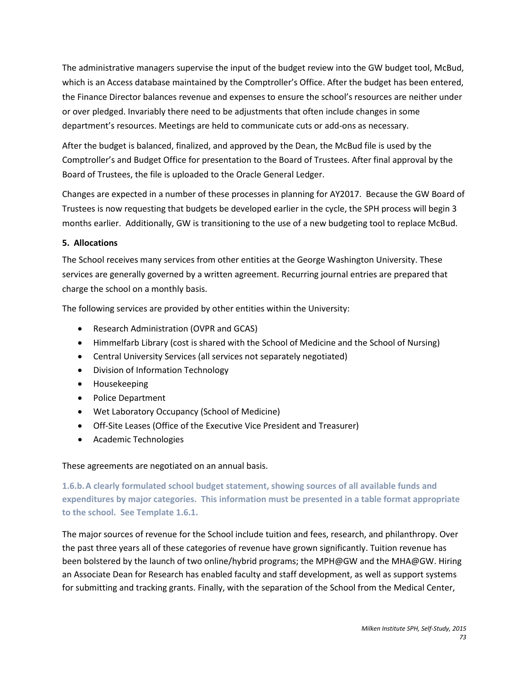The administrative managers supervise the input of the budget review into the GW budget tool, McBud, which is an Access database maintained by the Comptroller's Office. After the budget has been entered, the Finance Director balances revenue and expenses to ensure the school's resources are neither under or over pledged. Invariably there need to be adjustments that often include changes in some department's resources. Meetings are held to communicate cuts or add-ons as necessary.

After the budget is balanced, finalized, and approved by the Dean, the McBud file is used by the Comptroller's and Budget Office for presentation to the Board of Trustees. After final approval by the Board of Trustees, the file is uploaded to the Oracle General Ledger.

Changes are expected in a number of these processes in planning for AY2017. Because the GW Board of Trustees is now requesting that budgets be developed earlier in the cycle, the SPH process will begin 3 months earlier. Additionally, GW is transitioning to the use of a new budgeting tool to replace McBud.

# **5. Allocations**

The School receives many services from other entities at the George Washington University. These services are generally governed by a written agreement. Recurring journal entries are prepared that charge the school on a monthly basis.

The following services are provided by other entities within the University:

- Research Administration (OVPR and GCAS)
- Himmelfarb Library (cost is shared with the School of Medicine and the School of Nursing)
- Central University Services (all services not separately negotiated)
- Division of Information Technology
- Housekeeping
- Police Department
- Wet Laboratory Occupancy (School of Medicine)
- Off-Site Leases (Office of the Executive Vice President and Treasurer)
- Academic Technologies

# These agreements are negotiated on an annual basis.

**1.6.b.A clearly formulated school budget statement, showing sources of all available funds and expenditures by major categories. This information must be presented in a table format appropriate to the school. See Template 1.6.1.** 

The major sources of revenue for the School include tuition and fees, research, and philanthropy. Over the past three years all of these categories of revenue have grown significantly. Tuition revenue has been bolstered by the launch of two online/hybrid programs; the MPH@GW and the MHA@GW. Hiring an Associate Dean for Research has enabled faculty and staff development, as well as support systems for submitting and tracking grants. Finally, with the separation of the School from the Medical Center,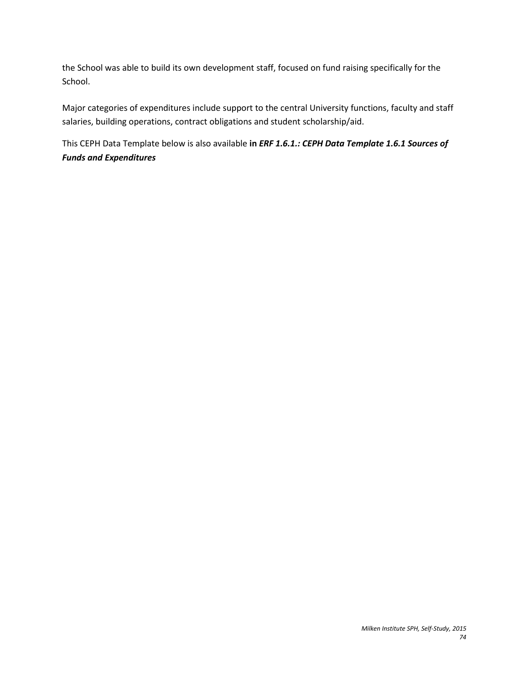the School was able to build its own development staff, focused on fund raising specifically for the School.

Major categories of expenditures include support to the central University functions, faculty and staff salaries, building operations, contract obligations and student scholarship/aid.

This CEPH Data Template below is also available **in** *ERF 1.6.1.: CEPH Data Template 1.6.1 Sources of Funds and Expenditures*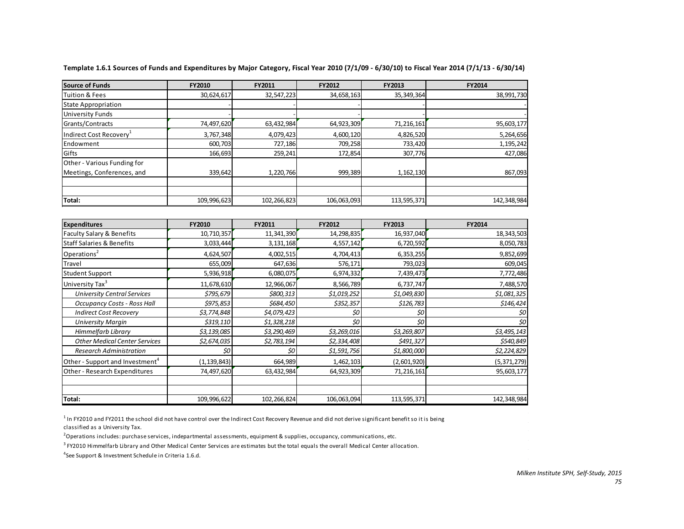| Source of Funds                             | FY2010        | FY2011      | FY2012          | FY2013      | <b>FY2014</b> |
|---------------------------------------------|---------------|-------------|-----------------|-------------|---------------|
| <b>Tuition &amp; Fees</b>                   | 30,624,617    | 32,547,223  | 34,658,163      | 35,349,364  | 38,991,730    |
| <b>State Appropriation</b>                  |               |             |                 |             |               |
| <b>University Funds</b>                     |               |             |                 |             |               |
| Grants/Contracts                            | 74,497,620    | 63,432,984  | 64,923,309      | 71,216,161  | 95,603,177    |
| Indirect Cost Recovery <sup>1</sup>         | 3,767,348     | 4,079,423   | 4,600,120       | 4,826,520   | 5,264,656     |
| Endowment                                   | 600,703       | 727,186     | 709,258         | 733,420     | 1,195,242     |
| Gifts                                       | 166,693       | 259,241     | 172,854         | 307,776     | 427,086       |
| Other - Various Funding for                 |               |             |                 |             |               |
| Meetings, Conferences, and                  | 339,642       | 1,220,766   | 999,389         | 1,162,130   | 867,093       |
|                                             |               |             |                 |             |               |
| Total:                                      | 109,996,623   | 102,266,823 | 106,063,093     | 113,595,371 | 142,348,984   |
|                                             |               |             |                 |             |               |
| <b>Expenditures</b>                         | FY2010        | FY2011      | FY2012          | FY2013      | FY2014        |
| <b>Faculty Salary &amp; Benefits</b>        | 10,710,357    | 11,341,390  | 14,298,835      | 16,937,040  | 18,343,503    |
| <b>Staff Salaries &amp; Benefits</b>        | 3,033,444     | 3,131,168   | 4,557,142       | 6,720,592   | 8,050,783     |
| Operations <sup>2</sup>                     | 4,624,507     | 4,002,515   | 4,704,413       | 6,353,255   | 9,852,699     |
| <b>Travel</b>                               | 655,009       | 647,636     | 576,171         | 793,023     | 609,045       |
| <b>Student Support</b>                      | 5,936,918     | 6,080,075   | 6,974,332       | 7,439,473   | 7,772,486     |
| University Tax <sup>3</sup>                 | 11,678,610    | 12,966,067  | 8,566,789       | 6,737,747   | 7,488,570     |
| <b>University Central Services</b>          | \$795,679     | \$800,313   | \$1,019,252     | \$1,049,830 | \$1,081,325   |
| Occupancy Costs - Ross Hall                 | \$975,853     | \$684,450   | \$352,357       | \$126,783   | \$146,424     |
| <b>Indirect Cost Recovery</b>               | \$3,774,848   | \$4,079,423 | \$0             | \$0         | 50            |
| <b>University Margin</b>                    | \$319,110     | \$1,328,218 | $\overline{50}$ | \$0         | 50            |
| Himmelfarb Library                          | \$3,139,085   | \$3,290,469 | \$3,269,016     | \$3,269,807 | \$3,495,143   |
| <b>Other Medical Center Services</b>        | \$2,674,035   | \$2,783,194 | \$2,334,408     | \$491,327   | \$540,849     |
| <b>Research Administration</b>              | 50            | \$0         | \$1,591,756     | \$1,800,000 | \$2,224,829   |
| Other - Support and Investment <sup>4</sup> | (1, 139, 843) | 664,989     | 1,462,103       | (2,601,920) | (5,371,279)   |
| Other - Research Expenditures               | 74,497,620    | 63,432,984  | 64,923,309      | 71,216,161  | 95,603,177    |
|                                             |               |             |                 |             |               |
| Total:                                      | 109,996,622   | 102,266,824 | 106,063,094     | 113,595,371 | 142,348,984   |

**Template 1.6.1 Sources of Funds and Expenditures by Major Category, Fiscal Year 2010 (7/1/09 - 6/30/10) to Fiscal Year 2014 (7/1/13 - 6/30/14)**

<sup>1</sup> In FY2010 and FY2011 the school did not have control over the Indirect Cost Recovery Revenue and did not derive significant benefit so it is being classified as a University Tax.

2 Operations includes: purchase services, indepartmental assessments, equipment & supplies, occupancy, communications, etc.

 $3$  FY2010 Himmelfarb Library and Other Medical Center Services are estimates but the total equals the overall Medical Center allocation.

<sup>4</sup>See Support & Investment Schedule in Criteria 1.6.d.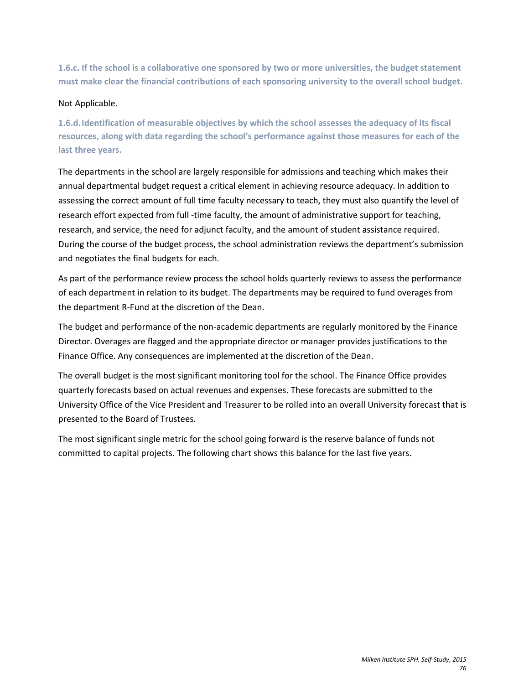**1.6.c. If the school is a collaborative one sponsored by two or more universities, the budget statement must make clear the financial contributions of each sponsoring university to the overall school budget.** 

## Not Applicable.

**1.6.d.Identification of measurable objectives by which the school assesses the adequacy of its fiscal resources, along with data regarding the school's performance against those measures for each of the last three years.** 

The departments in the school are largely responsible for admissions and teaching which makes their annual departmental budget request a critical element in achieving resource adequacy. In addition to assessing the correct amount of full time faculty necessary to teach, they must also quantify the level of research effort expected from full -time faculty, the amount of administrative support for teaching, research, and service, the need for adjunct faculty, and the amount of student assistance required. During the course of the budget process, the school administration reviews the department's submission and negotiates the final budgets for each.

As part of the performance review process the school holds quarterly reviews to assess the performance of each department in relation to its budget. The departments may be required to fund overages from the department R-Fund at the discretion of the Dean.

The budget and performance of the non-academic departments are regularly monitored by the Finance Director. Overages are flagged and the appropriate director or manager provides justifications to the Finance Office. Any consequences are implemented at the discretion of the Dean.

The overall budget is the most significant monitoring tool for the school. The Finance Office provides quarterly forecasts based on actual revenues and expenses. These forecasts are submitted to the University Office of the Vice President and Treasurer to be rolled into an overall University forecast that is presented to the Board of Trustees.

The most significant single metric for the school going forward is the reserve balance of funds not committed to capital projects. The following chart shows this balance for the last five years.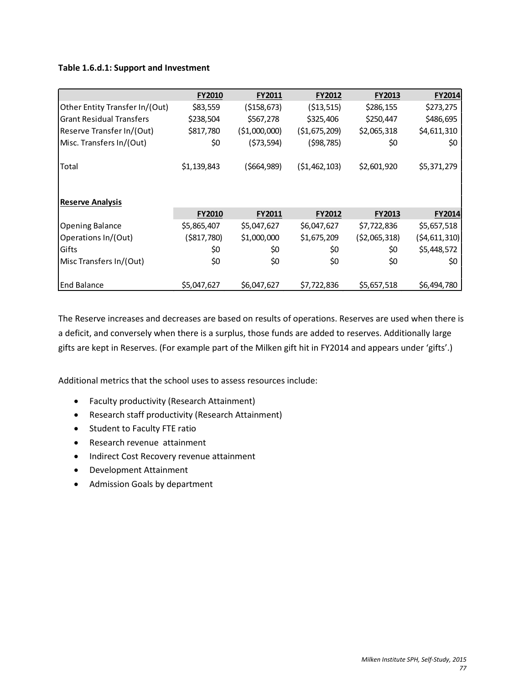## **Table 1.6.d.1: Support and Investment**

|                                 | <b>FY2010</b> | <b>FY2011</b>  | <b>FY2012</b>  | <b>FY2013</b>  | <b>FY2014</b>  |  |  |  |  |
|---------------------------------|---------------|----------------|----------------|----------------|----------------|--|--|--|--|
| Other Entity Transfer In/(Out)  | \$83,559      | (\$158,673)    | ( \$13,515)    | \$286,155      | \$273,275      |  |  |  |  |
| <b>Grant Residual Transfers</b> | \$238,504     | \$567,278      | \$325,406      | \$250,447      | \$486,695      |  |  |  |  |
| Reserve Transfer In/(Out)       | \$817,780     | ( \$1,000,000) | (\$1,675,209)  | \$2,065,318    | \$4,611,310    |  |  |  |  |
| Misc. Transfers In/(Out)        | \$0           | (573,594)      | (\$98,785)     | \$0            | \$0            |  |  |  |  |
| Total                           | \$1,139,843   | (\$664,989)    | ( \$1,462,103) | \$2,601,920    | \$5,371,279    |  |  |  |  |
| <b>Reserve Analysis</b>         |               |                |                |                |                |  |  |  |  |
|                                 | <b>FY2010</b> | <b>FY2011</b>  | <b>FY2012</b>  | <b>FY2013</b>  | <b>FY2014</b>  |  |  |  |  |
| <b>Opening Balance</b>          | \$5,865,407   | \$5,047,627    | \$6,047,627    | \$7,722,836    | \$5,657,518    |  |  |  |  |
| Operations In/(Out)             | ( \$817,780)  | \$1,000,000    | \$1,675,209    | ( \$2,065,318) | (54, 611, 310) |  |  |  |  |
| Gifts                           | \$0           | \$0            | \$0            | \$0            | \$5,448,572    |  |  |  |  |
| Misc Transfers In/(Out)         | \$0           | \$0            | \$0            | \$0            | \$0            |  |  |  |  |
| <b>End Balance</b>              | \$5,047,627   | \$6,047,627    | \$7,722,836    | \$5,657,518    | \$6,494,780    |  |  |  |  |

The Reserve increases and decreases are based on results of operations. Reserves are used when there is a deficit, and conversely when there is a surplus, those funds are added to reserves. Additionally large gifts are kept in Reserves. (For example part of the Milken gift hit in FY2014 and appears under 'gifts'.)

Additional metrics that the school uses to assess resources include:

- Faculty productivity (Research Attainment)
- Research staff productivity (Research Attainment)
- Student to Faculty FTE ratio
- Research revenue attainment
- Indirect Cost Recovery revenue attainment
- Development Attainment
- Admission Goals by department